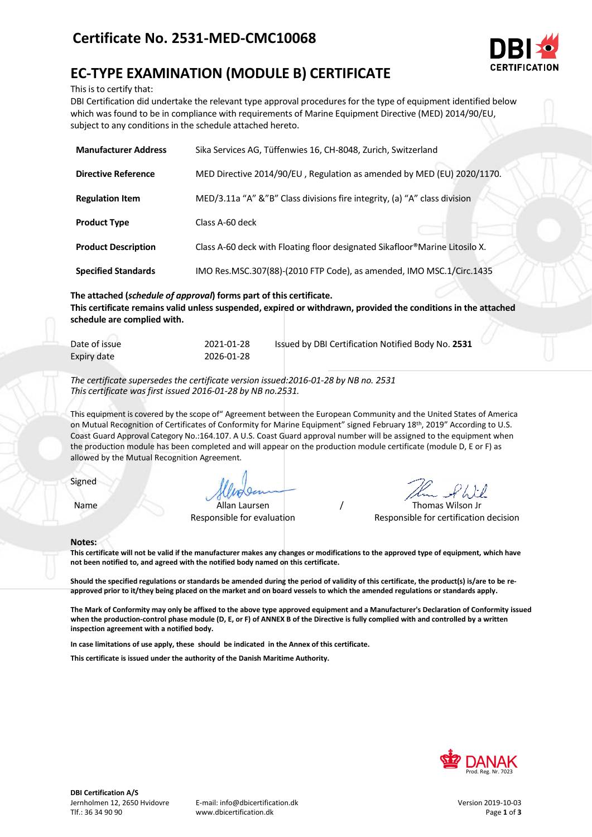## **Certificate No. 2531-MED-CMC10068**



# **EC-TYPE EXAMINATION (MODULE B) CERTIFICATE**

This is to certify that:

DBI Certification did undertake the relevant type approval procedures for the type of equipment identified below which was found to be in compliance with requirements of Marine Equipment Directive (MED) 2014/90/EU, subject to any conditions in the schedule attached hereto.

| <b>Manufacturer Address</b> | Sika Services AG, Tüffenwies 16, CH-8048, Zurich, Switzerland               |
|-----------------------------|-----------------------------------------------------------------------------|
| <b>Directive Reference</b>  | MED Directive 2014/90/EU, Regulation as amended by MED (EU) 2020/1170.      |
| <b>Regulation Item</b>      | MED/3.11a "A" &"B" Class divisions fire integrity, (a) "A" class division   |
| <b>Product Type</b>         | Class A-60 deck                                                             |
| <b>Product Description</b>  | Class A-60 deck with Floating floor designated Sikafloor®Marine Litosilo X. |
| <b>Specified Standards</b>  | IMO Res.MSC.307(88)-(2010 FTP Code), as amended, IMO MSC.1/Circ.1435        |

**The attached (***schedule of approval***) forms part of this certificate. This certificate remains valid unless suspended, expired or withdrawn, provided the conditions in the attached schedule are complied with.**

| Date of issue | 2021-01-28 | Issued by DBI Certification Notified Body No. 2531 |
|---------------|------------|----------------------------------------------------|
| Expiry date   | 2026-01-28 |                                                    |

*The certificate supersedes the certificate version issued:2016-01-28 by NB no. 2531 This certificate was first issued 2016-01-28 by NB no.2531.*

This equipment is covered by the scope of" Agreement between the European Community and the United States of America on Mutual Recognition of Certificates of Conformity for Marine Equipment" signed February 18<sup>th</sup>, 2019" According to U.S. Coast Guard Approval Category No.:164.107. A U.S. Coast Guard approval number will be assigned to the equipment when the production module has been completed and will appear on the production module certificate (module D, E or F) as allowed by the Mutual Recognition Agreement.

Signed

Name Allan Laursen / Thomas Wilson Jr

Responsible for evaluation Responsible for certification decision

#### **Notes:**

**This certificate will not be valid if the manufacturer makes any changes or modifications to the approved type of equipment, which have not been notified to, and agreed with the notified body named on this certificate.**

**Should the specified regulations or standards be amended during the period of validity of this certificate, the product(s) is/are to be reapproved prior to it/they being placed on the market and on board vessels to which the amended regulations or standards apply.**

**The Mark of Conformity may only be affixed to the above type approved equipment and a Manufacturer's Declaration of Conformity issued when the production-control phase module (D, E, or F) of ANNEX B of the Directive is fully complied with and controlled by a written inspection agreement with a notified body.** 

**In case limitations of use apply, these should be indicated in the Annex of this certificate.**

**This certificate is issued under the authority of the Danish Maritime Authority.**

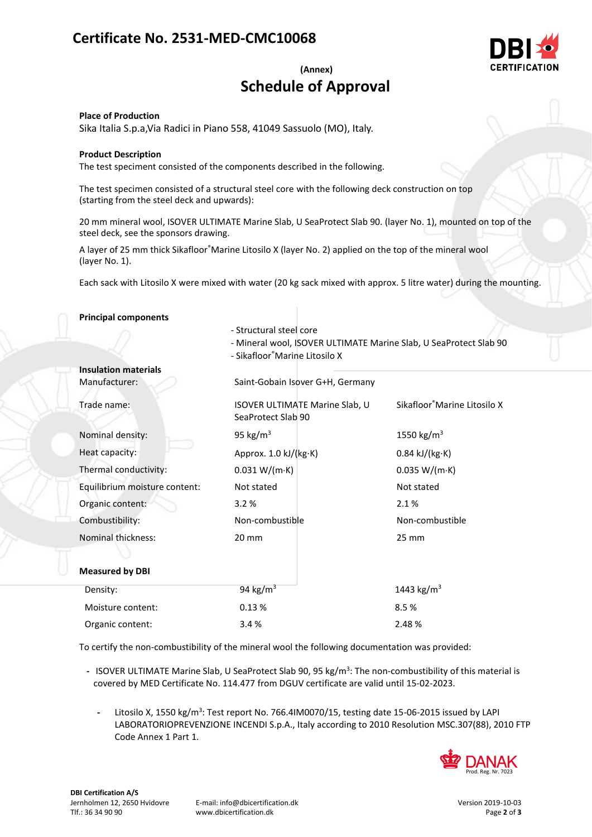## **Certificate No. 2531-MED-CMC10068**



### **(Annex) Schedule of Approval**

#### **Place of Production**

Sika Italia S.p.a,Via Radici in Piano 558, 41049 Sassuolo (MO), Italy.

#### **Product Description**

The test speciment consisted of the components described in the following.

The test specimen consisted of a structural steel core with the following deck construction on top (starting from the steel deck and upwards):

20 mm mineral wool, ISOVER ULTIMATE Marine Slab, U SeaProtect Slab 90. (layer No. 1), mounted on top of the steel deck, see the sponsors drawing.

A layer of 25 mm thick Sikafloor®Marine Litosilo X (layer No. 2) applied on the top of the mineral wool (layer No. 1).

Each sack with Litosilo X were mixed with water (20 kg sack mixed with approx. 5 litre water) during the mounting.

| <b>Principal components</b>   |                                                                                                                               |                                          |  |
|-------------------------------|-------------------------------------------------------------------------------------------------------------------------------|------------------------------------------|--|
|                               | - Structural steel core<br>- Mineral wool, ISOVER ULTIMATE Marine Slab, U SeaProtect Slab 90<br>- Sikafloor®Marine Litosilo X |                                          |  |
| <b>Insulation materials</b>   |                                                                                                                               |                                          |  |
| Manufacturer:                 | Saint-Gobain Isover G+H, Germany                                                                                              |                                          |  |
| Trade name:                   | <b>ISOVER ULTIMATE Marine Slab, U</b><br>SeaProtect Slab 90                                                                   | Sikafloor <sup>®</sup> Marine Litosilo X |  |
| Nominal density:              | 95 kg/ $m3$                                                                                                                   | 1550 kg/m <sup>3</sup>                   |  |
| Heat capacity:                | Approx. 1.0 kJ/(kg·K)                                                                                                         | $0.84$ kJ/(kg $\cdot$ K)                 |  |
| Thermal conductivity:         | 0.031 W/(m·K)                                                                                                                 | 0.035 W/(m·K)                            |  |
| Equilibrium moisture content: | Not stated                                                                                                                    | Not stated                               |  |
| Organic content:              | 3.2%                                                                                                                          | 2.1%                                     |  |
| Combustibility:               | Non-combustible                                                                                                               | Non-combustible                          |  |
| Nominal thickness:            | 20 mm                                                                                                                         | $25 \, \text{mm}$                        |  |
|                               |                                                                                                                               |                                          |  |
| <b>Measured by DBI</b>        |                                                                                                                               |                                          |  |
| Density:                      | 94 kg/ $m3$                                                                                                                   | 1443 kg/m <sup>3</sup>                   |  |
| Moisture content:             | 0.13%                                                                                                                         | 8.5%                                     |  |
| Organic content:              | 3.4%                                                                                                                          | 2.48%                                    |  |

To certify the non-combustibility of the mineral wool the following documentation was provided:

- ISOVER ULTIMATE Marine Slab, U SeaProtect Slab 90, 95 kg/m<sup>3</sup>: The non-combustibility of this material is covered by MED Certificate No. 114.477 from DGUV certificate are valid until 15-02-2023.
	- Litosilo X, 1550 kg/m<sup>3</sup>: Test report No. 766.4IM0070/15, testing date 15-06-2015 issued by LAPI LABORATORIOPREVENZIONE INCENDI S.p.A., Italy according to 2010 Resolution MSC.307(88), 2010 FTP Code Annex 1 Part 1.